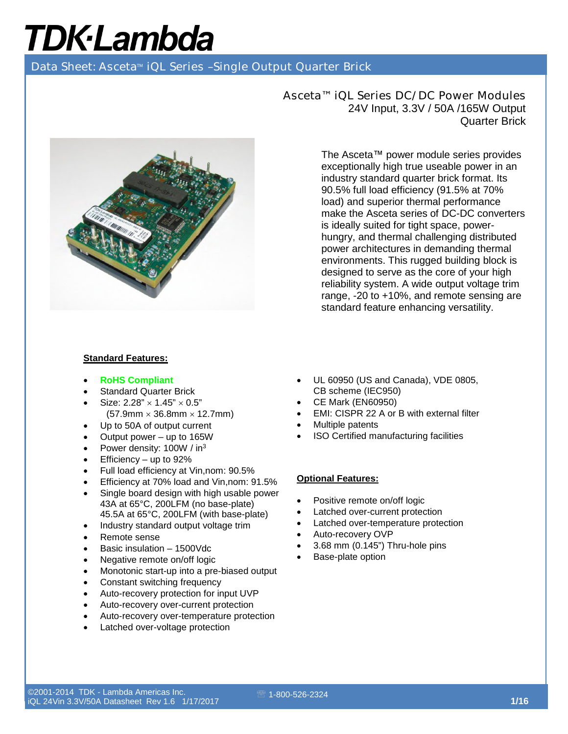Data Sheet: Asceta<sup>™</sup> iQL Series -Single Output Quarter Brick



Asceta™ iQL Series DC/DC Power Modules 24V Input, 3.3V / 50A /165W Output Quarter Brick

> The Asceta™ power module series provides exceptionally high true useable power in an industry standard quarter brick format. Its 90.5% full load efficiency (91.5% at 70% load) and superior thermal performance make the Asceta series of DC-DC converters is ideally suited for tight space, powerhungry, and thermal challenging distributed power architectures in demanding thermal environments. This rugged building block is designed to serve as the core of your high reliability system. A wide output voltage trim range, -20 to +10%, and remote sensing are standard feature enhancing versatility.

#### **Standard Features:**

- **RoHS Compliant**
- **Standard Quarter Brick**
- Size:  $2.28" \times 1.45" \times 0.5"$  $(57.9$ mm  $\times$  36.8mm  $\times$  12.7mm)
- Up to 50A of output current
- Output power  $-$  up to 165W
- Power density: 100W / in<sup>3</sup>
- Efficiency up to 92%
- Full load efficiency at Vin,nom: 90.5%
- Efficiency at 70% load and Vin,nom: 91.5%
- Single board design with high usable power 43A at 65°C, 200LFM (no base-plate) 45.5A at 65°C, 200LFM (with base-plate)
- Industry standard output voltage trim
- Remote sense
- Basic insulation 1500Vdc
- Negative remote on/off logic
- Monotonic start-up into a pre-biased output
- Constant switching frequency
- Auto-recovery protection for input UVP
- Auto-recovery over-current protection
- Auto-recovery over-temperature protection
- Latched over-voltage protection
- UL 60950 (US and Canada), VDE 0805, CB scheme (IEC950)
- CE Mark (EN60950)
- EMI: CISPR 22 A or B with external filter
- Multiple patents
- ISO Certified manufacturing facilities

#### **Optional Features:**

- Positive remote on/off logic
- Latched over-current protection
- Latched over-temperature protection
- Auto-recovery OVP
- 3.68 mm (0.145") Thru-hole pins
- Base-plate option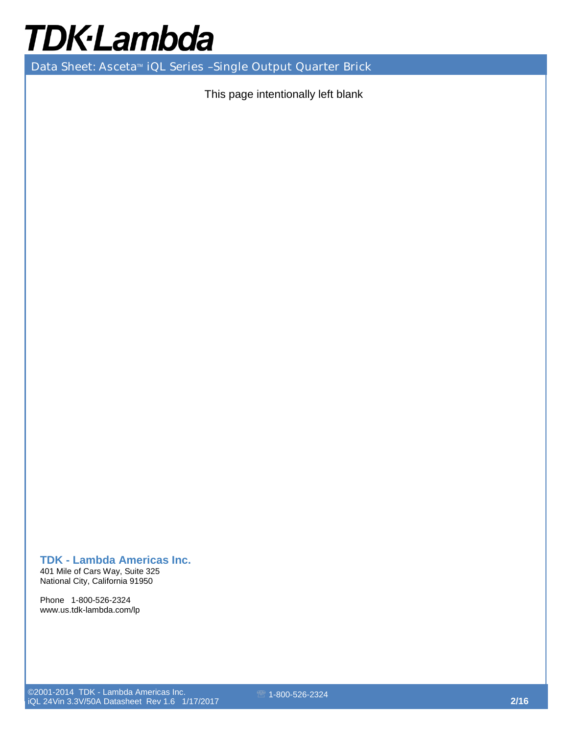# **TDK-Lambda**

Data Sheet: Asceta<sup>™</sup> iQL Series -Single Output Quarter Brick

This page intentionally left blank

#### **TDK - Lambda Americas Inc.**

401 Mile of Cars Way, Suite 325 National City, California 91950

Phone 1-800-526-2324 www.us.tdk-lambda.com/lp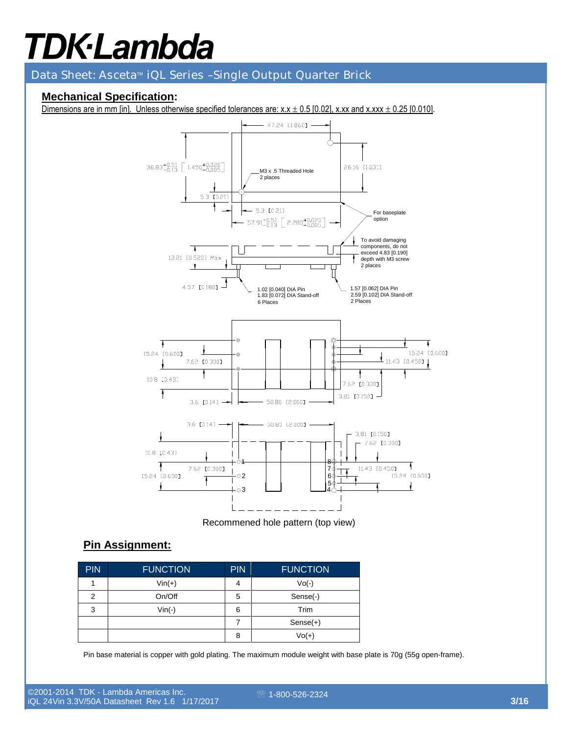Data Sheet: Asceta<sup>™</sup> iQL Series -Single Output Quarter Brick

### **Mechanical Specification:**

Dimensions are in mm [in]. Unless otherwise specified tolerances are:  $x.x \pm 0.5$  [0.02], x.xx and x.xxx  $\pm$  0.25 [0.010].



Recommened hole pattern (top view)

#### **Pin Assignment:**

| <b>PIN</b> | <b>FUNCTION</b> | <b>PIN</b> | <b>FUNCTION</b> |
|------------|-----------------|------------|-----------------|
|            | $Vin(+)$        | 4          | $Vo(-)$         |
| 2          | On/Off          | 5          | Sense(-)        |
| 3          | $Vin(-)$        | 6          | Trim            |
|            |                 |            | $Sense(+)$      |
|            |                 | 8          | $Vol(+)$        |

Pin base material is copper with gold plating. The maximum module weight with base plate is 70g (55g open-frame).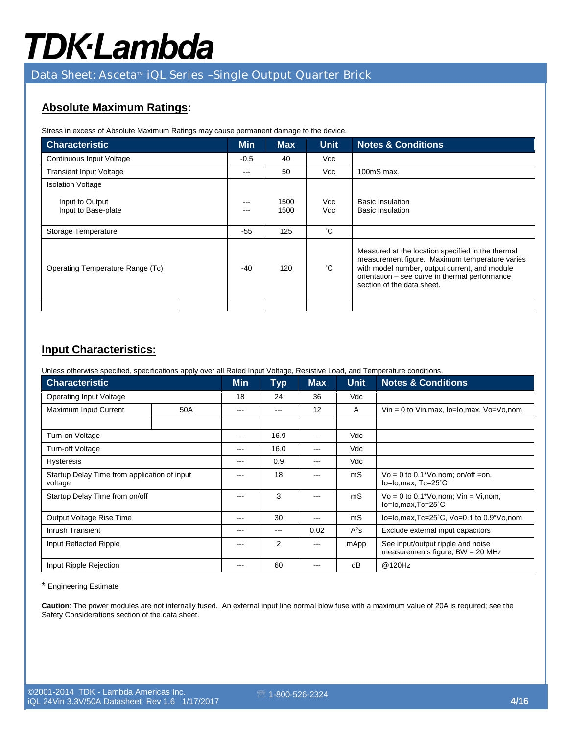## **TDK-Lambda**

### Data Sheet: Asceta<sup>™</sup> iQL Series -Single Output Quarter Brick

### **Absolute Maximum Ratings:**

Stress in excess of Absolute Maximum Ratings may cause permanent damage to the device.

| <b>Characteristic</b>                  | <b>Min</b>        | <b>Max</b>   | <b>Unit</b> | <b>Notes &amp; Conditions</b>                                                                                                                                                                                                        |
|----------------------------------------|-------------------|--------------|-------------|--------------------------------------------------------------------------------------------------------------------------------------------------------------------------------------------------------------------------------------|
| Continuous Input Voltage               | $-0.5$            | 40           | Vdc         |                                                                                                                                                                                                                                      |
| <b>Transient Input Voltage</b>         | $\qquad \qquad -$ | 50           | Vdc         | $100 \text{mS}$ max.                                                                                                                                                                                                                 |
| <b>Isolation Voltage</b>               |                   |              |             |                                                                                                                                                                                                                                      |
| Input to Output<br>Input to Base-plate | $---$<br>$- - -$  | 1500<br>1500 | Vdc.<br>Vdc | <b>Basic Insulation</b><br><b>Basic Insulation</b>                                                                                                                                                                                   |
| Storage Temperature                    | $-55$             | 125          | °С          |                                                                                                                                                                                                                                      |
| Operating Temperature Range (Tc)       | $-40$             | 120          | °С          | Measured at the location specified in the thermal<br>measurement figure. Maximum temperature varies<br>with model number, output current, and module<br>orientation - see curve in thermal performance<br>section of the data sheet. |
|                                        |                   |              |             |                                                                                                                                                                                                                                      |

### **Input Characteristics:**

Unless otherwise specified, specifications apply over all Rated Input Voltage, Resistive Load, and Temperature conditions.

| <b>Characteristic</b>                                   | <b>Min</b> | <b>Typ</b> | <b>Max</b> | <b>Unit</b> | <b>Notes &amp; Conditions</b> |                                                                         |
|---------------------------------------------------------|------------|------------|------------|-------------|-------------------------------|-------------------------------------------------------------------------|
| <b>Operating Input Voltage</b>                          |            | 18         | 24         | 36          | Vdc                           |                                                                         |
| Maximum Input Current<br>50A                            |            | ---        | ---        | 12          | A                             | $V$ in = 0 to Vin, max, $I_0$ = $I_0$ , max, $V_0 = V_0$ , nom          |
|                                                         |            |            |            |             |                               |                                                                         |
| Turn-on Voltage                                         |            | ---        | 16.9       | ---         | Vdc                           |                                                                         |
| Turn-off Voltage                                        |            | ---        | 16.0       | ---         | Vdc                           |                                                                         |
| <b>Hysteresis</b>                                       |            | ---        | 0.9        | ---         | Vdc                           |                                                                         |
| Startup Delay Time from application of input<br>voltage |            | ---        | 18         |             | mS                            | $Vo = 0$ to 0.1*Vo, nom; on/off = on,<br>lo=lo,max, Tc=25°C             |
| Startup Delay Time from on/off                          |            | ---        | 3          | ---         | mS                            | $Vo = 0$ to 0.1*Vo, nom; $ Vin = Vi$ , nom,<br>$lo = Io.max.Tc = 25°C$  |
| Output Voltage Rise Time                                |            | ---        | 30         | ---         | mS                            | lo=lo,max,Tc=25°C, Vo=0.1 to 0.9*Vo,nom                                 |
| Inrush Transient                                        |            | ---        | ---        | 0.02        | $A^2s$                        | Exclude external input capacitors                                       |
| Input Reflected Ripple                                  |            | ---        | 2          |             | mApp                          | See input/output ripple and noise<br>measurements figure; $BW = 20 MHz$ |
| Input Ripple Rejection                                  |            | ---        | 60         | ---         | dB                            | @120Hz                                                                  |

\* Engineering Estimate

**Caution**: The power modules are not internally fused. An external input line normal blow fuse with a maximum value of 20A is required; see the Safety Considerations section of the data sheet.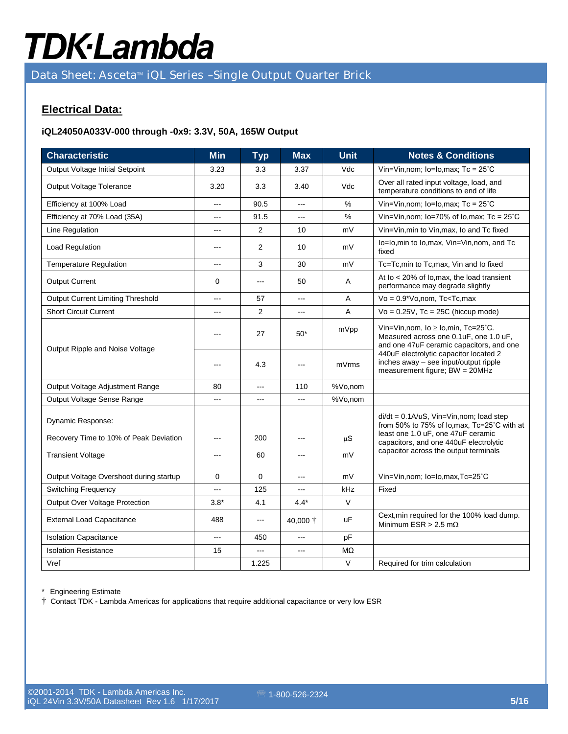# **TDK-Lambda**

Data Sheet: Asceta<sup>™</sup> iQL Series -Single Output Quarter Brick

### **Electrical Data:**

#### **iQL24050A033V-000 through -0x9: 3.3V, 50A, 165W Output**

| <b>Characteristic</b>                    | <b>Min</b>     | <b>Typ</b>     | <b>Max</b> | <b>Unit</b> | <b>Notes &amp; Conditions</b>                                                                                                                                                                                                                         |
|------------------------------------------|----------------|----------------|------------|-------------|-------------------------------------------------------------------------------------------------------------------------------------------------------------------------------------------------------------------------------------------------------|
| Output Voltage Initial Setpoint          | 3.23           | 3.3            | 3.37       | Vdc         | Vin=Vin, nom; $lo = Io$ , max; $Tc = 25^{\circ}C$                                                                                                                                                                                                     |
| Output Voltage Tolerance                 | 3.20           | 3.3            | 3.40       | Vdc         | Over all rated input voltage, load, and<br>temperature conditions to end of life                                                                                                                                                                      |
| Efficiency at 100% Load                  | $---$          | 90.5           | $\sim$     | %           | Vin=Vin, nom; $lo=Io$ , max; $Tc = 25^{\circ}C$                                                                                                                                                                                                       |
| Efficiency at 70% Load (35A)             | ---            | 91.5           | ---        | %           | Vin=Vin, nom; lo=70% of lo, max; Tc = $25^{\circ}$ C                                                                                                                                                                                                  |
| Line Regulation                          | $\overline{a}$ | $\overline{2}$ | 10         | mV          | Vin=Vin, min to Vin, max, Io and Tc fixed                                                                                                                                                                                                             |
| Load Regulation                          | ---            | 2              | 10         | mV          | lo=lo, min to lo, max, Vin=Vin, nom, and Tc<br>fixed                                                                                                                                                                                                  |
| <b>Temperature Regulation</b>            | ---            | 3              | 30         | mV          | Tc=Tc,min to Tc,max, Vin and Io fixed                                                                                                                                                                                                                 |
| <b>Output Current</b>                    | 0              | $---$          | 50         | Α           | At lo < 20% of lo, max, the load transient<br>performance may degrade slightly                                                                                                                                                                        |
| <b>Output Current Limiting Threshold</b> | ---            | 57             |            | A           | $Vo = 0.9*Vo$ , nom, Tc <tc, max<="" td=""></tc,>                                                                                                                                                                                                     |
| <b>Short Circuit Current</b>             | ---            | 2              | ---        | A           | $Vo = 0.25V$ , Tc = 25C (hiccup mode)                                                                                                                                                                                                                 |
| Output Ripple and Noise Voltage          |                | 27             | $50*$      | mVpp        | Vin=Vin, nom, $Io \geq Io$ , min, Tc=25°C.<br>Measured across one 0.1uF, one 1.0 uF,<br>and one 47uF ceramic capacitors, and one<br>440uF electrolytic capacitor located 2<br>inches away - see input/output ripple<br>measurement figure; BW = 20MHz |
|                                          | ---            | 4.3            | ---        | mVrms       |                                                                                                                                                                                                                                                       |
| Output Voltage Adjustment Range          | 80             | ---            | 110        | %Vo,nom     |                                                                                                                                                                                                                                                       |
| Output Voltage Sense Range               |                | ---            |            | %Vo,nom     |                                                                                                                                                                                                                                                       |
| Dynamic Response:                        |                |                |            |             | $di/dt = 0.1A/uS$ , Vin=Vin, nom; load step<br>from 50% to 75% of lo, max, Tc=25°C with at<br>least one 1.0 uF, one 47uF ceramic                                                                                                                      |
| Recovery Time to 10% of Peak Deviation   |                | 200            | ---        | $\mu S$     | capacitors, and one 440uF electrolytic                                                                                                                                                                                                                |
| <b>Transient Voltage</b>                 | ---            | 60             | ---        | mV          | capacitor across the output terminals                                                                                                                                                                                                                 |
| Output Voltage Overshoot during startup  | 0              | 0              | ---        | mV          | Vin=Vin, nom; lo=lo, max, Tc=25°C                                                                                                                                                                                                                     |
| Switching Frequency                      | ---            | 125            | ---        | kHz         | Fixed                                                                                                                                                                                                                                                 |
| Output Over Voltage Protection           | $3.8*$         | 4.1            | $4.4*$     | V           |                                                                                                                                                                                                                                                       |
| <b>External Load Capacitance</b>         | 488            | ---            | 40,000 †   | uF          | Cext, min required for the 100% load dump.<br>Minimum ESR > 2.5 m $\Omega$                                                                                                                                                                            |
| <b>Isolation Capacitance</b>             | ---            | 450            | $\sim$     | pF          |                                                                                                                                                                                                                                                       |
| <b>Isolation Resistance</b>              | 15             | ---            | ---        | MΩ          |                                                                                                                                                                                                                                                       |
| Vref                                     |                | 1.225          |            | V           | Required for trim calculation                                                                                                                                                                                                                         |

\* Engineering Estimate

† Contact TDK - Lambda Americas for applications that require additional capacitance or very low ESR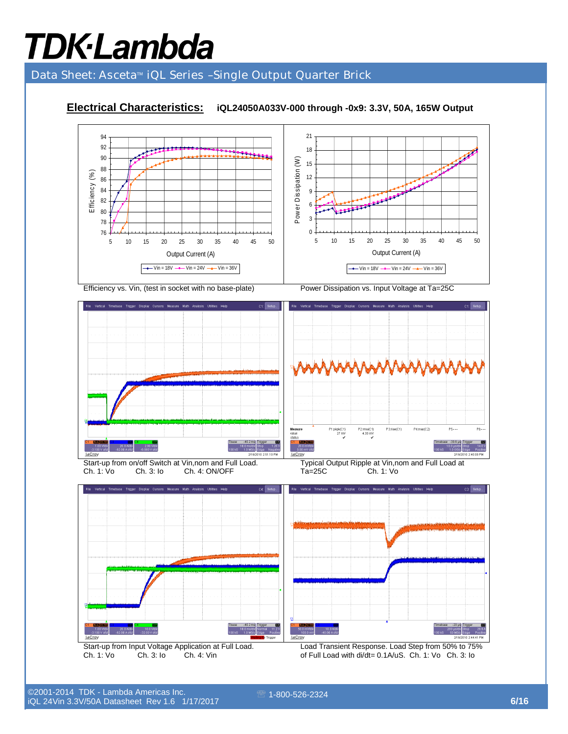### Data Sheet: Asceta<sup>™</sup> iQL Series -Single Output Quarter Brick

### **Electrical Characteristics: iQL24050A033V-000 through -0x9: 3.3V, 50A, 165W Output**



ان المورد 1-800-526-2324 **6/16 من المورد 1-800-526 من المورد 1-800-6**<br>المورد 16 من المورد المورد 16 من المورد المورد المورد المورد المورد المورد المورد المورد المورد المورد المورد ا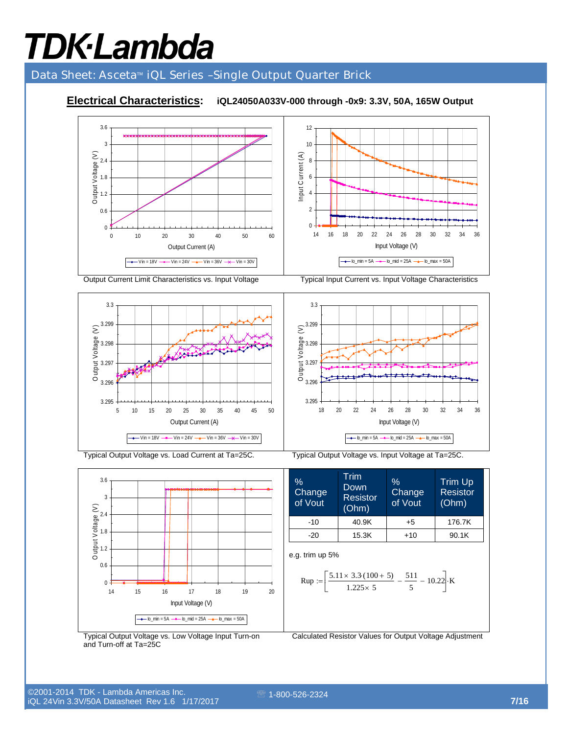### Data Sheet: Asceta<sup>™</sup> iQL Series -Single Output Quarter Brick

### **Electrical Characteristics: iQL24050A033V-000 through -0x9: 3.3V, 50A, 165W Output**



Output Current Limit Characteristics vs. Input Voltage Typical Input Current vs. Input Voltage Characteristics



3.295 3.296 3.297 3.298 3.299 3.3 18 20 22 24 26 28 30 32 34 36 Input Voltage (V) OOutput Voltage (V)

 $\rightarrow$   $\sim$   $\cdot$  Io\_min = 5A  $\rightarrow$   $\sim$  Io\_mid = 25A  $\rightarrow$  Io\_max = 50A



Typical Output Voltage vs. Load Current at Ta=25C. Typical Output Voltage vs. Input Voltage at Ta=25C.

% **Change** of Vout Trim Down Resistor (Ohm) % **Change** of Vout Trim Up Resistor (Ohm)  $-10$  40.9K +5 176.7K  $-20$  15.3K +10 90.1K

e.g. trim up 5%

$$
\text{Rup} := \left[ \frac{5.11 \times 3.3 \cdot (100 + 5)}{1.225 \times 5} - \frac{511}{5} - 10.22 \right] \cdot \text{K}
$$

Typical Output Voltage vs. Low Voltage Input Turn-on and Turn-off at Ta=25C

Calculated Resistor Values for Output Voltage Adjustment

©2001-2014 TDK - Lambda Americas Inc. iQL 24Vin 3.3V/50A Datasheet Rev 1.6 1/17/2017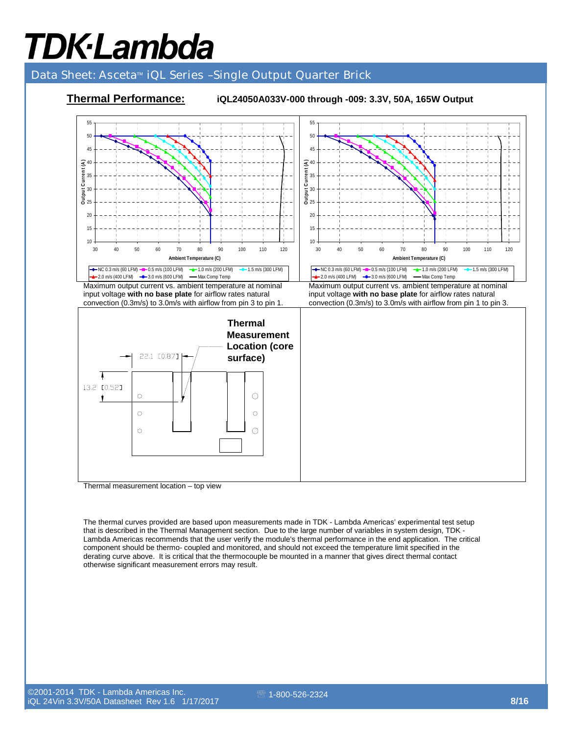### Data Sheet: Asceta<sup>™</sup> iQL Series -Single Output Quarter Brick



Thermal measurement location – top view

The thermal curves provided are based upon measurements made in TDK - Lambda Americas' experimental test setup that is described in the Thermal Management section. Due to the large number of variables in system design, TDK - Lambda Americas recommends that the user verify the module's thermal performance in the end application. The critical component should be thermo- coupled and monitored, and should not exceed the temperature limit specified in the derating curve above. It is critical that the thermocouple be mounted in a manner that gives direct thermal contact otherwise significant measurement errors may result.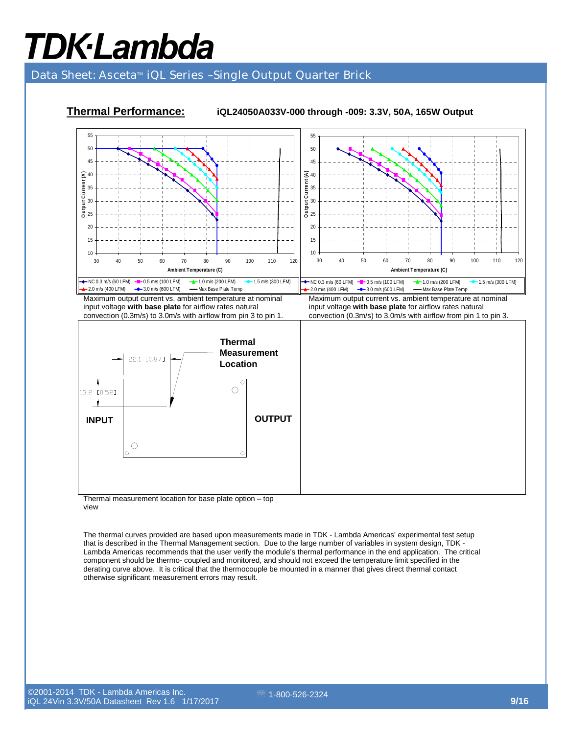### Data Sheet: Asceta<sup>™</sup> iQL Series -Single Output Quarter Brick



Thermal measurement location for base plate option – top view

The thermal curves provided are based upon measurements made in TDK - Lambda Americas' experimental test setup that is described in the Thermal Management section. Due to the large number of variables in system design, TDK - Lambda Americas recommends that the user verify the module's thermal performance in the end application. The critical component should be thermo- coupled and monitored, and should not exceed the temperature limit specified in the derating curve above. It is critical that the thermocouple be mounted in a manner that gives direct thermal contact otherwise significant measurement errors may result.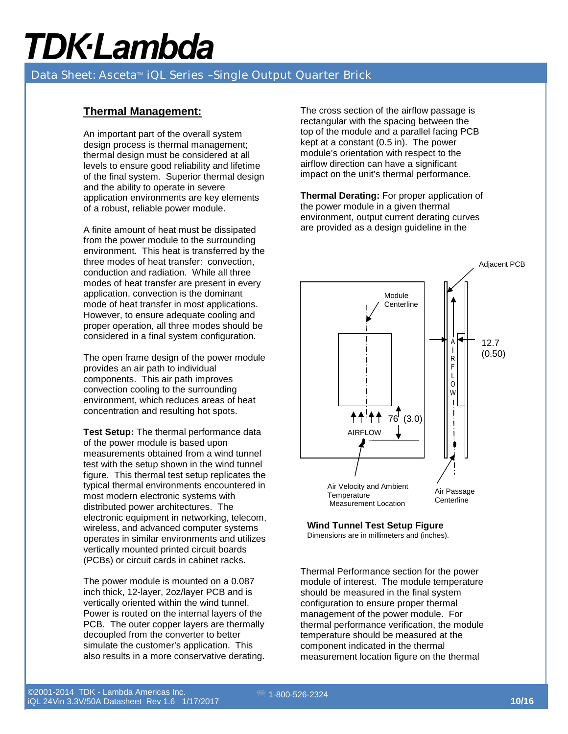### Data Sheet: Asceta<sup>™</sup> iQL Series -Single Output Quarter Brick

#### **Thermal Management:**

An important part of the overall system design process is thermal management; thermal design must be considered at all levels to ensure good reliability and lifetime of the final system. Superior thermal design and the ability to operate in severe application environments are key elements of a robust, reliable power module.

A finite amount of heat must be dissipated from the power module to the surrounding environment. This heat is transferred by the three modes of heat transfer: convection, conduction and radiation. While all three modes of heat transfer are present in every application, convection is the dominant mode of heat transfer in most applications. However, to ensure adequate cooling and proper operation, all three modes should be considered in a final system configuration.

The open frame design of the power module provides an air path to individual components. This air path improves convection cooling to the surrounding environment, which reduces areas of heat concentration and resulting hot spots.

**Test Setup:** The thermal performance data of the power module is based upon measurements obtained from a wind tunnel test with the setup shown in the wind tunnel figure. This thermal test setup replicates the typical thermal environments encountered in most modern electronic systems with distributed power architectures. The electronic equipment in networking, telecom, wireless, and advanced computer systems operates in similar environments and utilizes vertically mounted printed circuit boards (PCBs) or circuit cards in cabinet racks.

The power module is mounted on a 0.087 inch thick, 12-layer, 2oz/layer PCB and is vertically oriented within the wind tunnel. Power is routed on the internal layers of the PCB. The outer copper layers are thermally decoupled from the converter to better simulate the customer's application. This also results in a more conservative derating.

The cross section of the airflow passage is rectangular with the spacing between the top of the module and a parallel facing PCB kept at a constant (0.5 in). The power module's orientation with respect to the airflow direction can have a significant impact on the unit's thermal performance.

**Thermal Derating:** For proper application of the power module in a given thermal environment, output current derating curves are provided as a design guideline in the



### **Wind Tunnel Test Setup Figure**

Dimensions are in millimeters and (inches).

Thermal Performance section for the power module of interest. The module temperature should be measured in the final system configuration to ensure proper thermal management of the power module. For thermal performance verification, the module temperature should be measured at the component indicated in the thermal measurement location figure on the thermal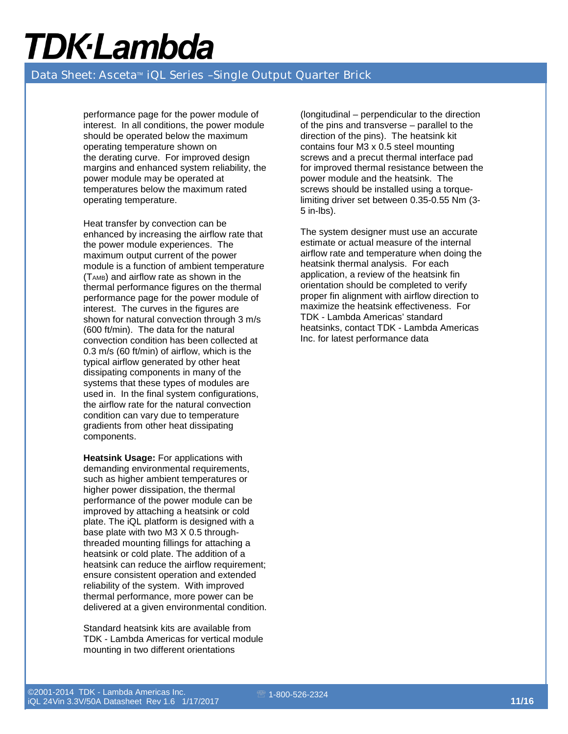#### Data Sheet: Asceta<sup>™</sup> iQL Series -Single Output Quarter Brick

performance page for the power module of interest. In all conditions, the power module should be operated below the maximum operating temperature shown on the derating curve. For improved design margins and enhanced system reliability, the power module may be operated at temperatures below the maximum rated operating temperature.

Heat transfer by convection can be enhanced by increasing the airflow rate that the power module experiences. The maximum output current of the power module is a function of ambient temperature  $(T<sub>AMB</sub>)$  and airflow rate as shown in the thermal performance figures on the thermal performance page for the power module of interest. The curves in the figures are shown for natural convection through 3 m/s (600 ft/min). The data for the natural convection condition has been collected at 0.3 m/s (60 ft/min) of airflow, which is the typical airflow generated by other heat dissipating components in many of the systems that these types of modules are used in. In the final system configurations, the airflow rate for the natural convection condition can vary due to temperature gradients from other heat dissipating components.

**Heatsink Usage: For applications with** demanding environmental requirements, such as higher ambient temperatures or higher power dissipation, the thermal performance of the power module can be improved by attaching a heatsink or cold plate. The iQL platform is designed with a base plate with two M3 X 0.5 throughthreaded mounting fillings for attaching a heatsink or cold plate. The addition of a heatsink can reduce the airflow requirement; ensure consistent operation and extended reliability of the system. With improved thermal performance, more power can be delivered at a given environmental condition.

Standard heatsink kits are available from TDK - Lambda Americas for vertical module mounting in two different orientations

(longitudinal – perpendicular to the direction of the pins and transverse – parallel to the direction of the pins). The heatsink kit contains four M3 x 0.5 steel mounting screws and a precut thermal interface pad for improved thermal resistance between the power module and the heatsink. The screws should be installed using a torquelimiting driver set between 0.35-0.55 Nm (3- 5 in-lbs).

The system designer must use an accurate estimate or actual measure of the internal airflow rate and temperature when doing the heatsink thermal analysis. For each application, a review of the heatsink fin orientation should be completed to verify proper fin alignment with airflow direction to maximize the heatsink effectiveness. For TDK - Lambda Americas' standard heatsinks, contact TDK - Lambda Americas Inc. for latest performance data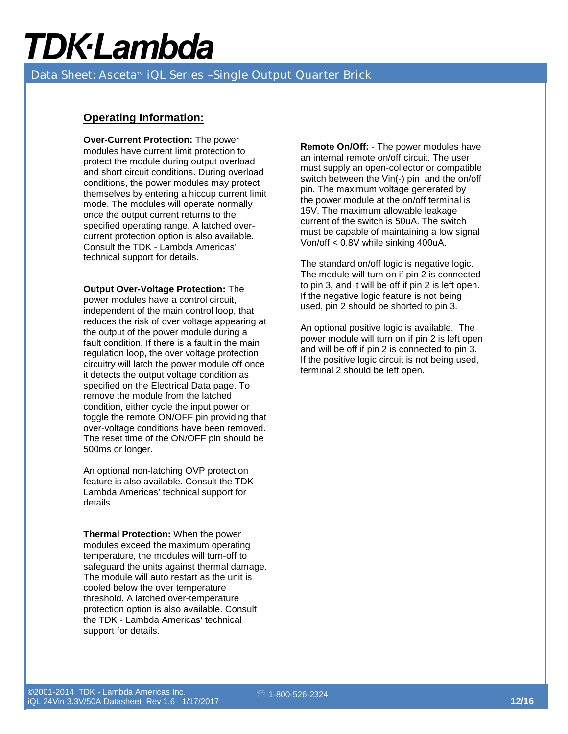Data Sheet: Asceta<sup>™</sup> iQL Series -Single Output Quarter Brick

#### **Operating Information:**

**Over-Current Protection:** The power modules have current limit protection to protect the module during output overload and short circuit conditions. During overload conditions, the power modules may protect themselves by entering a hiccup current limit mode. The modules will operate normally once the output current returns to the specified operating range. A latched overcurrent protection option is also available. Consult the TDK - Lambda Americas' technical support for details.

**Output Over-Voltage Protection:** The power modules have a control circuit, independent of the main control loop, that reduces the risk of over voltage appearing at the output of the power module during a fault condition. If there is a fault in the main regulation loop, the over voltage protection circuitry will latch the power module off once it detects the output voltage condition as specified on the Electrical Data page. To remove the module from the latched condition, either cycle the input power or toggle the remote ON/OFF pin providing that over-voltage conditions have been removed. The reset time of the ON/OFF pin should be 500ms or longer.

An optional non-latching OVP protection feature is also available. Consult the TDK - Lambda Americas' technical support for details.

**Thermal Protection:** When the power modules exceed the maximum operating temperature, the modules will turn-off to safeguard the units against thermal damage. The module will auto restart as the unit is cooled below the over temperature threshold. A latched over-temperature protection option is also available. Consult the TDK - Lambda Americas' technical support for details.

**Remote On/Off:** - The power modules have an internal remote on/off circuit. The user must supply an open-collector or compatible switch between the Vin(-) pin and the on/off pin. The maximum voltage generated by the power module at the on/off terminal is 15V. The maximum allowable leakage current of the switch is 50uA. The switch must be capable of maintaining a low signal Von/off < 0.8V while sinking 400uA.

The standard on/off logic is negative logic. The module will turn on if pin 2 is connected to pin 3, and it will be off if pin 2 is left open. If the negative logic feature is not being used, pin 2 should be shorted to pin 3.

An optional positive logic is available. The power module will turn on if pin 2 is left open and will be off if pin 2 is connected to pin 3. If the positive logic circuit is not being used, terminal 2 should be left open.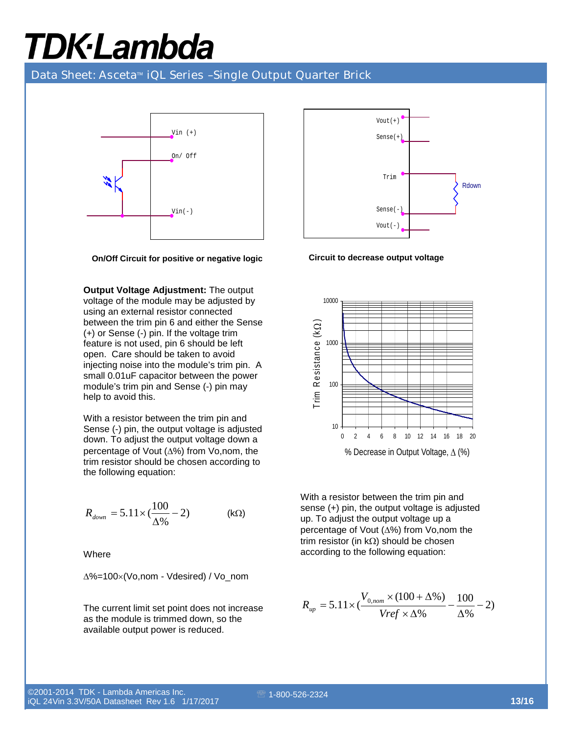Data Sheet: Asceta<sup>™</sup> iQL Series -Single Output Quarter Brick



**On/Off Circuit for positive or negative logic** 

**Output Voltage Adjustment:** The output voltage of the module may be adjusted by using an external resistor connected between the trim pin 6 and either the Sense (+) or Sense (-) pin. If the voltage trim feature is not used, pin 6 should be left open. Care should be taken to avoid injecting noise into the module's trim pin. A small 0.01uF capacitor between the power module's trim pin and Sense (-) pin may help to avoid this.

With a resistor between the trim pin and Sense (-) pin, the output voltage is adjusted down. To adjust the output voltage down a percentage of Vout (∆%) from Vo,nom, the trim resistor should be chosen according to the following equation:

$$
R_{down} = 5.11 \times (\frac{100}{\Delta\%} - 2)
$$
 (kΩ)

**Where** 

$$
\Delta\% = 100 \times (Vo, nom - Vdesired) / Vo\_nom
$$

The current limit set point does not increase as the module is trimmed down, so the available output power is reduced.



**Circuit to decrease output voltage** 



With a resistor between the trim pin and sense (+) pin, the output voltage is adjusted up. To adjust the output voltage up a percentage of Vout (∆%) from Vo,nom the trim resistor (in kΩ) should be chosen according to the following equation:

$$
R_{up} = 5.11 \times \left(\frac{V_{0,nom} \times (100 + \Delta\%)}{Vref \times \Delta\%} - \frac{100}{\Delta\%} - 2\right)
$$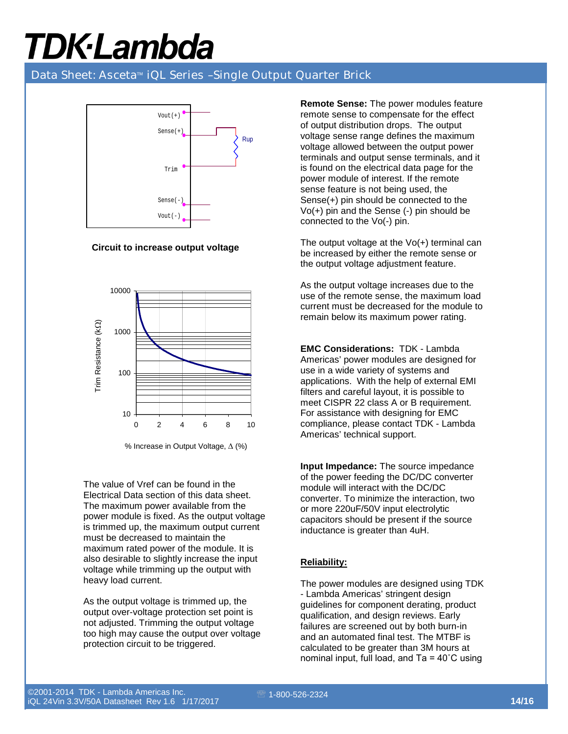### Data Sheet: Asceta<sup>™</sup> iQL Series -Single Output Quarter Brick



**Circuit to increase output voltage** 



<sup>%</sup> Increase in Output Voltage, ∆ (%)

The value of Vref can be found in the Electrical Data section of this data sheet. The maximum power available from the power module is fixed. As the output voltage is trimmed up, the maximum output current must be decreased to maintain the maximum rated power of the module. It is also desirable to slightly increase the input voltage while trimming up the output with heavy load current.

As the output voltage is trimmed up, the output over-voltage protection set point is not adjusted. Trimming the output voltage too high may cause the output over voltage protection circuit to be triggered.

**Remote Sense:** The power modules feature remote sense to compensate for the effect of output distribution drops. The output voltage sense range defines the maximum voltage allowed between the output power terminals and output sense terminals, and it is found on the electrical data page for the power module of interest. If the remote sense feature is not being used, the Sense(+) pin should be connected to the Vo(+) pin and the Sense (-) pin should be connected to the Vo(-) pin.

The output voltage at the Vo(+) terminal can be increased by either the remote sense or the output voltage adjustment feature.

As the output voltage increases due to the use of the remote sense, the maximum load current must be decreased for the module to remain below its maximum power rating.

**EMC Considerations:** TDK - Lambda Americas' power modules are designed for use in a wide variety of systems and applications. With the help of external EMI filters and careful layout, it is possible to meet CISPR 22 class A or B requirement. For assistance with designing for EMC compliance, please contact TDK - Lambda Americas' technical support.

**Input Impedance:** The source impedance of the power feeding the DC/DC converter module will interact with the DC/DC converter. To minimize the interaction, two or more 220uF/50V input electrolytic capacitors should be present if the source inductance is greater than 4uH.

### **Reliability:**

The power modules are designed using TDK - Lambda Americas' stringent design guidelines for component derating, product qualification, and design reviews. Early failures are screened out by both burn-in and an automated final test. The MTBF is calculated to be greater than 3M hours at nominal input, full load, and Ta = 40˚C using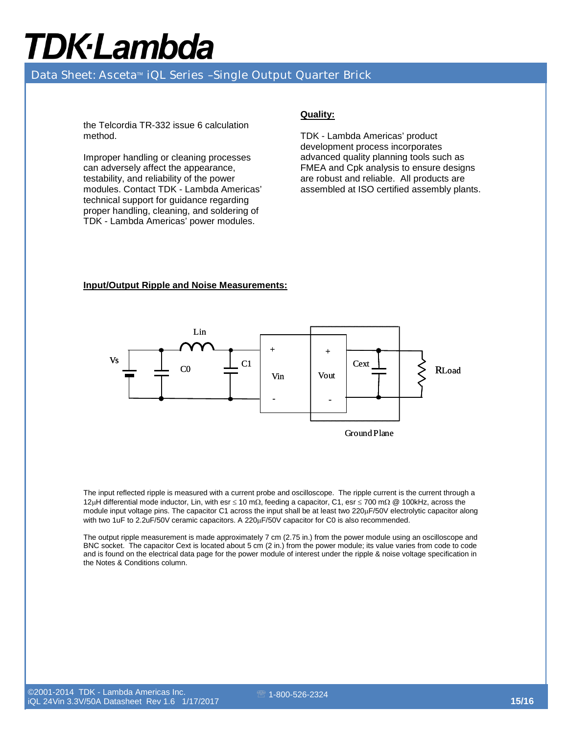### Data Sheet: Asceta<sup>™</sup> iQL Series -Single Output Quarter Brick

the Telcordia TR-332 issue 6 calculation method.

Improper handling or cleaning processes can adversely affect the appearance, testability, and reliability of the power modules. Contact TDK - Lambda Americas' technical support for guidance regarding proper handling, cleaning, and soldering of TDK - Lambda Americas' power modules.

#### **Quality:**

TDK - Lambda Americas' product development process incorporates advanced quality planning tools such as FMEA and Cpk analysis to ensure designs are robust and reliable. All products are assembled at ISO certified assembly plants.

#### **Input/Output Ripple and Noise Measurements:**



The input reflected ripple is measured with a current probe and oscilloscope. The ripple current is the current through a 12µH differential mode inductor, Lin, with esr ≤ 10 mΩ, feeding a capacitor, C1, esr ≤ 700 mΩ @ 100kHz, across the module input voltage pins. The capacitor C1 across the input shall be at least two 220µF/50V electrolytic capacitor along with two 1uF to 2.2uF/50V ceramic capacitors. A 220µF/50V capacitor for C0 is also recommended.

The output ripple measurement is made approximately 7 cm (2.75 in.) from the power module using an oscilloscope and BNC socket. The capacitor Cext is located about 5 cm (2 in.) from the power module; its value varies from code to code and is found on the electrical data page for the power module of interest under the ripple & noise voltage specification in the Notes & Conditions column.